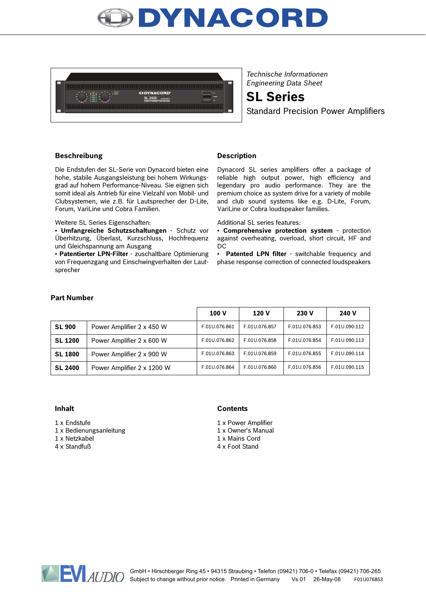



*Technische Informationen Engineering Data Sheet*

**SL Series**

Standard Precision Power Amplifiers

### **Beschreibung Community Description**

Die Endstufen der SL-Serie von Dynacord bieten eine hohe, stabile Ausgangsleistung bei hohem Wirkungsgrad auf hohem Performance-Niveau. Sie eignen sich somit ideal als Antrieb für eine Vielzahl von Mobil- und Clubsystemen, wie z.B. für Lautsprecher der D-Lite, Forum, VariLine und Cobra Familien.

Weitere SL Series Eigenschaften:

• **Umfangreiche Schutzschaltungen** - Schutz vor Überhitzung, Überlast, Kurzschluss, Hochfrequenz und Gleichspannung am Ausgang

• **Patentierter LPN-Filter** - zuschaltbare Optimierung von Frequenzgang und Einschwingverhalten der Lautsprecher

Dynacord SL series amplifiers offer a package of reliable high output power, high efficiency and legendary pro audio performance. They are the premium choice as system drive for a variety of mobile and club sound systems like e.g. D-Lite, Forum, VariLine or Cobra loudspeaker families.

Additional SL series features:

• **Comprehensive protection system** - protection against overheating, overload, short circuit, HF and DC

• **Patented LPN filter** - switchable frequency and phase response correction of connected loudspeakers

#### **Part Number**

|                |                            | 100 V         | 120 V         | 230 V         | 240 V         |
|----------------|----------------------------|---------------|---------------|---------------|---------------|
| <b>SL 900</b>  | Power Amplifier 2 x 450 W  | F.01U.076.861 | F.01U.076.857 | F.01U.076.853 | F.01U.090.112 |
| <b>SL 1200</b> | Power Amplifier 2 x 600 W  | F.01U.076.862 | F.01U.076.858 | F.01U.076.854 | F.01U.090.113 |
| <b>SL 1800</b> | Power Amplifier 2 x 900 W  | F.01U.076.863 | F.01U.076.859 | F.01U.076.855 | F.01U.090.114 |
| <b>SL 2400</b> | Power Amplifier 2 x 1200 W | F.01U.076.864 | F.01U.076.860 | F.01U.076.856 | F.01U.090.115 |

1 x Endstufe

1 x Bedienungsanleitung

1 x Netzkabel

4 x Standfuß

#### **Inhalt Contents**

1 x Power Amplifier

- 1 x Owner's Manual 1 x Mains Cord
- 4 x Foot Stand

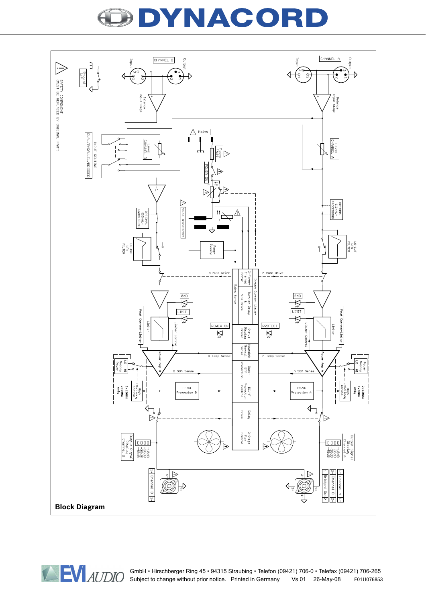## YNACORD



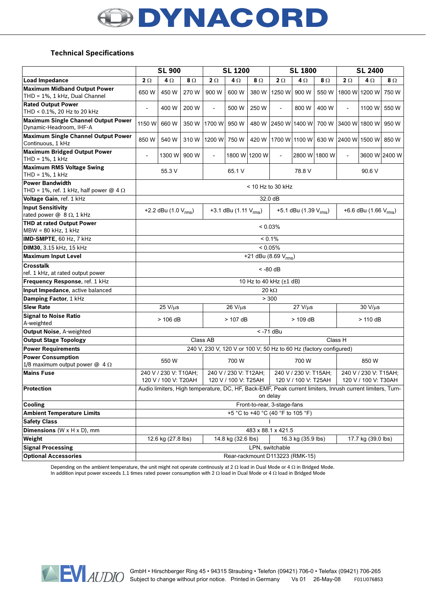# DYNACORD

### **Technical Specifications**

|                                                                         | <b>SL 900</b>                                                                                                         |                    | <b>SL 1200</b> |                                               |                    | <b>SL 1800</b>                                |                                   |                                               | <b>SL 2400</b> |                            |               |               |
|-------------------------------------------------------------------------|-----------------------------------------------------------------------------------------------------------------------|--------------------|----------------|-----------------------------------------------|--------------------|-----------------------------------------------|-----------------------------------|-----------------------------------------------|----------------|----------------------------|---------------|---------------|
| <b>Load Impedance</b>                                                   | $2 \Omega$                                                                                                            | $4\Omega$          | $8\Omega$      | $2 \Omega$                                    | $4\Omega$          | 8Ω                                            | $2 \Omega$                        | 4Ω                                            | $\Omega$       | $2\Omega$                  | 4Ω            | 8Ω            |
| <b>Maximum Midband Output Power</b><br>THD = 1%, 1 kHz, Dual Channel    | 650 W                                                                                                                 | 450 W              | 270 W          | 900 W                                         | 600 W              | 380 W                                         | 1250 W                            | 900 W                                         | 550 W          |                            | 1800 W 1200 W | 750 W         |
| <b>Rated Output Power</b>                                               |                                                                                                                       |                    |                |                                               |                    |                                               |                                   |                                               |                |                            |               |               |
| THD < 0.1%, 20 Hz to 20 kHz                                             | L,                                                                                                                    | 400 W              | 200 W          | $\overline{\phantom{a}}$                      | 500 W              | 250 W                                         | $\overline{\phantom{a}}$          | 800 W                                         | 400 W          | $\overline{\phantom{0}}$   | 1100 W        | 550 W         |
| <b>Maximum Single Channel Output Power</b><br>Dynamic-Headroom, IHF-A   | 1150 W                                                                                                                | 660 W              |                | 350 W 1700 W                                  | 950 W              |                                               | 480 W 2450 W 1400 W               |                                               | 700 W          |                            | 3400 W 1800 W | 950 W         |
| <b>Maximum Single Channel Output Power</b><br>Continuous, 1 kHz         | 850 W                                                                                                                 | 540 W              |                | 310 W 1200 W                                  | 750 W              | 420 W                                         |                                   | 1700 W 1100 W                                 |                | 630 W 2400 W 1500 W        |               | 850W          |
| <b>Maximum Bridged Output Power</b><br>THD = 1%, 1 kHz                  | $\overline{\phantom{a}}$                                                                                              | 1300 W             | 900 W          | $\overline{a}$                                | 1800 W 1200 W      |                                               | $\overline{\phantom{a}}$          |                                               | 2800 W 1800 W  | $\overline{\phantom{a}}$   |               | 3600 W 2400 W |
| <b>Maximum RMS Voltage Swing</b><br>THD = 1%, 1 kHz                     | 55.3 V                                                                                                                |                    |                | 65.1 V                                        |                    | 78.8 V                                        |                                   |                                               | 90.6 V         |                            |               |               |
| Power Bandwidth<br>THD = 1%, ref. 1 kHz, half power $\omega$ 4 $\Omega$ | $<$ 10 Hz to 30 kHz                                                                                                   |                    |                |                                               |                    |                                               |                                   |                                               |                |                            |               |               |
| Voltage Gain, ref. 1 kHz                                                | 32.0 dB                                                                                                               |                    |                |                                               |                    |                                               |                                   |                                               |                |                            |               |               |
| <b>Input Sensitivity</b><br>rated power $@ 8 \Omega$ , 1 kHz            | +2.2 dBu $(1.0 V_{rms})$                                                                                              |                    |                | +3.1 dBu $(1.11 V_{rms})$                     |                    |                                               | +5.1 dBu (1.39 V <sub>rms</sub> ) |                                               |                | +6.6 dBu (1.66 $V_{rms}$ ) |               |               |
| <b>THD at rated Output Power</b><br>MBW = 80 kHz, 1 kHz                 | $< 0.03\%$                                                                                                            |                    |                |                                               |                    |                                               |                                   |                                               |                |                            |               |               |
| <b>IMD-SMPTE, 60 Hz, 7 kHz</b>                                          | $< 0.1\%$                                                                                                             |                    |                |                                               |                    |                                               |                                   |                                               |                |                            |               |               |
| DIM30, 3.15 kHz, 15 kHz                                                 | < 0.05%                                                                                                               |                    |                |                                               |                    |                                               |                                   |                                               |                |                            |               |               |
| <b>Maximum Input Level</b>                                              | +21 dBu (8.69 $V_{rms}$ )                                                                                             |                    |                |                                               |                    |                                               |                                   |                                               |                |                            |               |               |
| <b>Crosstalk</b><br>ref. 1 kHz, at rated output power                   | $< -80$ dB                                                                                                            |                    |                |                                               |                    |                                               |                                   |                                               |                |                            |               |               |
| Frequency Response, ref. 1 kHz                                          | 10 Hz to 40 kHz (±1 dB)                                                                                               |                    |                |                                               |                    |                                               |                                   |                                               |                |                            |               |               |
| Input Impedance, active balanced                                        | 20 $k\Omega$                                                                                                          |                    |                |                                               |                    |                                               |                                   |                                               |                |                            |               |               |
| Damping Factor, 1 kHz                                                   | > 300                                                                                                                 |                    |                |                                               |                    |                                               |                                   |                                               |                |                            |               |               |
| <b>Slew Rate</b>                                                        | $25 V/\mu s$                                                                                                          |                    |                | $26 \text{ V/}\mu\text{s}$                    |                    |                                               | $27 V/\mu s$                      |                                               |                | 30 V/µs                    |               |               |
| <b>Signal to Noise Ratio</b><br>A-weighted                              | $> 106$ dB                                                                                                            |                    | $>$ 107 dB     |                                               | $> 109$ dB         |                                               |                                   | $> 110$ dB                                    |                |                            |               |               |
| Output Noise, A-weighted                                                | $<$ -71 dBu                                                                                                           |                    |                |                                               |                    |                                               |                                   |                                               |                |                            |               |               |
| <b>Output Stage Topology</b>                                            | Class AB<br>Class H                                                                                                   |                    |                |                                               |                    |                                               |                                   |                                               |                |                            |               |               |
| <b>Power Requirements</b>                                               | 240 V, 230 V, 120 V or 100 V; 50 Hz to 60 Hz (factory configured)                                                     |                    |                |                                               |                    |                                               |                                   |                                               |                |                            |               |               |
| <b>Power Consumption</b><br>1/8 maximum output power $@$ 4 $\Omega$     | 550 W                                                                                                                 |                    | 700 W          |                                               | 700 W              |                                               | 850 W                             |                                               |                |                            |               |               |
| <b>Mains Fuse</b>                                                       | 240 V / 230 V: T10AH;<br>120 V / 100 V: T20AH                                                                         |                    |                | 240 V / 230 V: T12AH;<br>120 V / 100 V: T25AH |                    | 240 V / 230 V: T15AH:<br>120 V / 100 V: T25AH |                                   | 240 V / 230 V: T15AH:<br>120 V / 100 V: T30AH |                |                            |               |               |
| Protection                                                              | Audio limiters, High temperature, DC, HF, Back-EMF, Peak current limiters, Inrush current limiters, Turn-<br>on delay |                    |                |                                               |                    |                                               |                                   |                                               |                |                            |               |               |
| <b>Cooling</b>                                                          | Front-to-rear, 3-stage-fans                                                                                           |                    |                |                                               |                    |                                               |                                   |                                               |                |                            |               |               |
| <b>Ambient Temperature Limits</b>                                       |                                                                                                                       |                    |                |                                               |                    |                                               | +5 °C to +40 °C (40 °F to 105 °F) |                                               |                |                            |               |               |
| <b>Safety Class</b>                                                     |                                                                                                                       |                    |                |                                               |                    |                                               |                                   |                                               |                |                            |               |               |
| <b>Dimensions</b> ( $W \times H \times D$ ), mm                         | 483 x 88.1 x 421.5                                                                                                    |                    |                |                                               |                    |                                               |                                   |                                               |                |                            |               |               |
| Weight                                                                  |                                                                                                                       | 12.6 kg (27.8 lbs) |                |                                               | 14.8 kg (32.6 lbs) |                                               |                                   | 16.3 kg (35.9 lbs)                            |                | 17.7 kg (39.0 lbs)         |               |               |
| <b>Signal Processing</b>                                                | LPN, switchable                                                                                                       |                    |                |                                               |                    |                                               |                                   |                                               |                |                            |               |               |
| <b>Optional Accessories</b>                                             | Rear-rackmount D113223 (RMK-15)                                                                                       |                    |                |                                               |                    |                                               |                                   |                                               |                |                            |               |               |

Depending on the ambient temperature, the unit might not operate continously at 2 Ω load in Dual Mode or 4 Ω in Bridged Mode. In addition input power exceeds 1.1 times rated power consumption with 2 Ω load in Dual Mode or 4 Ω load in Bridged Mode